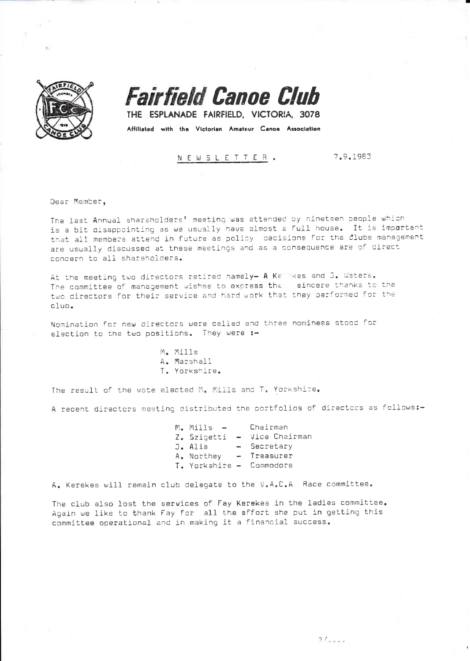

**Fairfield Canoe Club** 

THE ESPLANADE FAIRFIELD, VICTORIA, 3078 Affiliated with the Victorian Amateur Canoe Association

NEWSLETTER.

7.9.1983

Dear Member,

The last Annual shareholders' meeting was attended by nineteen people which is a bit disappointing as we usually have almost a full house. It is important that all members attend in future as policy decisions for the clubs management are usually discussed at these meetings and as a consequence are of direct concern to all shareholders.

At the meeting two directors retired namely- A Ket kes and J. Waters. The committee of management wishes to express the sincere thanks to the two directors for their service and hard work that they performed for the club.

Nomination for new directors were called and three nominees stood for election to the two positions. They were :-

> M. Mills A. Marshall T. Yorkshire.

The result of the vote elected M. Mills and T. Yorkshire.

A recent directors meeting distributed the portfolios of directors as follows:-

 $M_{\bullet}$  Mills  $-$ Chairman Z. Szigetti - Vice Chairman J. Alia - Secretary A. Northey - Treasurer T. Yorkshire - Commodore

A. Kerekes will remain club delegate to the V.A.C.A Race committee.

The club also lost the services of Fay Kerekes in the ladies committee. Again we like to thank Fay for all the effort she put in getting this committee operational and in making it a financial success.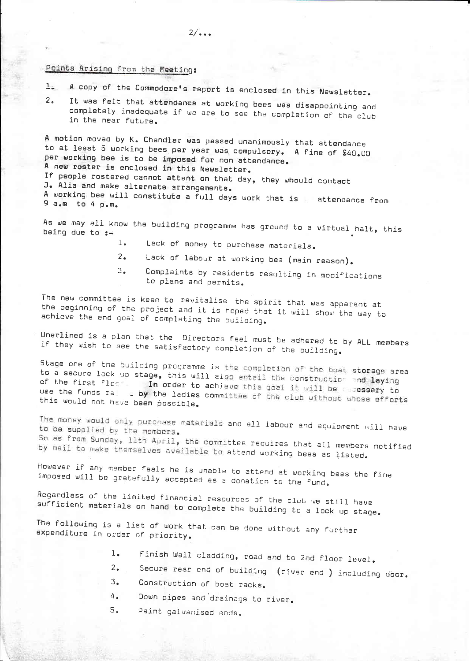## Points Arising from the Meeting:

- A copy of the Commodore's report is enclosed in this Newsletter.  $\frac{1}{2}$
- It was felt that attendance at working bees was disappointing and  $2<sup>1</sup>$ completely inadequate if we are to see the completion of the club in the near future.

A motion moved by K. Chandler was passed unanimously that attendance to at least 5 working bees per year was compulsory. A fine of \$40.00 per working bee is to be imposed for non attendance. A new roster is enclosed in this Newsletter. If people rostered cannot attent on that day, they whould contact J. Alia and make alternate arrangements. A working bee will constitute a full days work that is attendance from 9 a.m to 4 p.m.

As we may all know the building programme has ground to a virtual halt, this being due to  $:=$ 

- $1.$ Lack of money to purchase materials.
- Lack of labour at working bee (main reason).  $2 -$
- Complaints by residents resulting in modifications  $3.$ to plans and permits.

The new committee is keen to revitalise the spirit that was apparant at the beginning of the project and it is hoped that it will show the way to achieve the end goal of completing the building.

Unerlined is a plan that the Directors feel must be adhered to by ALL members if they wish to see the satisfactory completion of the building.

Stage one of the building programme is the completion of the boat storage area to a secure lock up stage, this will also entail the construction and laying of the first floor. In order to achieve this goal it will be a sessary to use the funds ral o by the ladies committee of the club without whose efforts this would not have been possible.

The money would only purchase materials and all labour and equipment will have to be supplied by the members. So as from Sunday, llth April, the committee requires that all members notified by mail to make themselves available to attend working bees as listed.

However if any member feels he is unable to attend at working bees the fine imposed will be gratefully accepted as a donation to the fund.

Regardless of the limited financial resources of the club we still have sufficient materials on hand to complete the building to a lock up stage.

The following is a list of work that can be done without any further expenditure in order of priority.

- finish Wall cladding, road and to 2nd floor level.  $l_{\bullet}$
- Secure rear end of building (river end ) including door.  $2.$
- $3.$ Construction of boat racks.
- $4\,$   $_{\bullet}$ Down pipes and drainage to river.
- $5.$ Paint galvanised ends.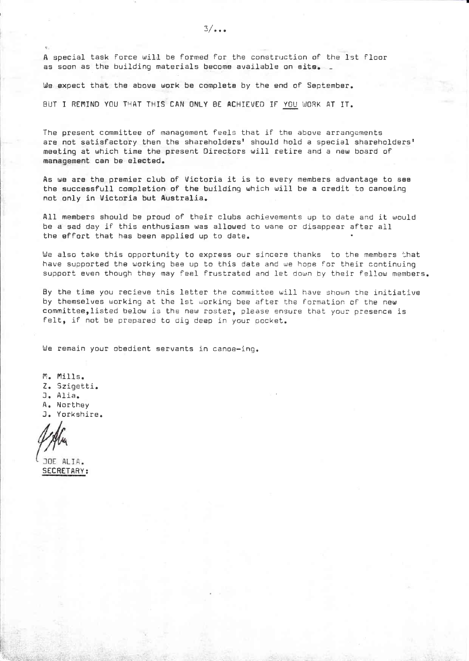A special task force will be formed for the construction of the 1st floor as soon as the building materials become available on site.

We expect that the above work be complete by the end of September.

BUT I REMIND YOU THAT THIS CAN ONLY BE ACHIEVED IF YOU WORK AT IT.

The present committee of management feels that if the above arrangements are not satisfactory then the shareholders' should hold a special shareholders' meeting at which time the present Directors will retire and a new board of management can be elected.

As we are the premier club of Victoria it is to every members advantage to see the successfull completion of the building which will be a credit to canoeing not only in Victoria but Australia.

All members should be proud of their clubs achievements up to date and it would be a sad day if this enthusiasm was allowed to wane or disappear after all the effort that has been applied up to date.

We also take this opportunity to express our sincere thanks to the members that have supported the working bee up to this date and we hope for their continuing support even though they may feel frustrated and let down by their fellow members.

By the time you recieve this letter the committee will have shown the initiative by themselves working at the 1st working bee after the formation of the new committee, listed below is the new roster, please ensure that your presence is felt, if not be prepared to dig deep in your pocket.

We remain your obedient servants in canoe-ing.

M. Mills. Z. Szigetti. J. Alia. A. Northey J. Yorkshire.

JOE ALIA. **SECRETARY:**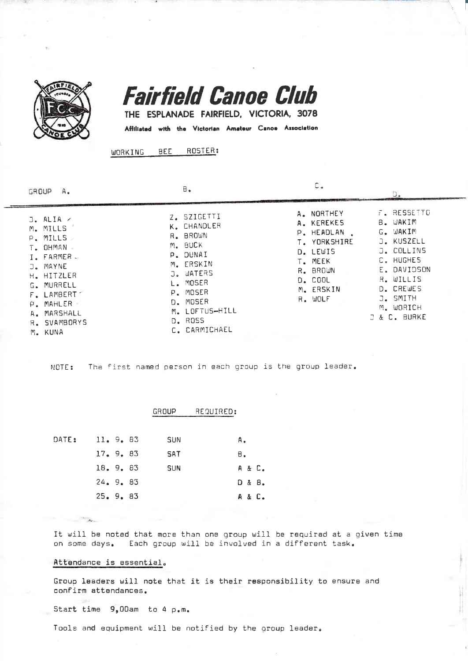

**Fairfield Canoe Club** 

THE ESPLANADE FAIRFIELD, VICTORIA, 3078

Affiliated with the Victorian Amateur Canoe Association

ROSTER: **BEE** WORKING

| GROUP         | Α.                                                                                                                                                                 | Β.                                                                                                                                                                           |                                                                                                                                     |                                                                                                                                                                           |
|---------------|--------------------------------------------------------------------------------------------------------------------------------------------------------------------|------------------------------------------------------------------------------------------------------------------------------------------------------------------------------|-------------------------------------------------------------------------------------------------------------------------------------|---------------------------------------------------------------------------------------------------------------------------------------------------------------------------|
| G.<br>M. KUNA | $J. ALIA \times$<br>M. MILLS<br>P. MILLS<br>T. OHMAN<br>I. FARMER -<br>J. MAYNE<br>H. HITZLER<br>MURRELL<br>F. LAMBERT<br>P. MAHLER<br>A. MARSHALL<br>R. SVAMBORYS | Z. SZIGETTI<br>K. CHANDLER<br>R. BROWN<br>M. BUCK<br>P. DUNAI<br>M. ERSKIN<br>J. WATERS<br>MOSER<br>L.<br>P. MOSER<br>D. MOSER<br>M. LOFTUS-HILL<br>D. ROSS<br>C. CARMICHAEL | A. NORTHEY<br>A. KEREKES<br>P. HEADLAN<br>T. YORKSHIRE<br>D. LEWIS<br>T. MEEK<br>R. BROWN<br><b>D. COOL</b><br>M. ERSKIN<br>R. WOLF | F. RESSETTO<br>B. WAKIM<br>G. WAKIM<br>J. KUSZELL<br>J. COLLINS<br>C. HUGHES<br>E. DAVIDSON<br>R. WILLIS<br>D. CREWES<br>J. SMITH<br>M. WORICH<br><b>J &amp; C. BURKE</b> |

The first named person in each group is the group leader. NOTE:

|       |         | REQUIRED:<br>GROUP |        |
|-------|---------|--------------------|--------|
|       |         |                    |        |
| DATE: | 11.9.83 | <b>SUN</b>         | Α.     |
|       | 17.9.83 | SAT                | в.     |
|       | 18.9.83 | <b>SUN</b>         | A & C. |
|       | 24.9.83 |                    | D & B. |
|       | 25.9.83 |                    | A & C. |
|       |         |                    |        |

It will be noted that more than one group will be required at a given time on some days. Each group will be involved in a different task.

## Attendance is essential.

Group leaders will note that it is their responsibility to ensure and confirm attendances.

Start time 9,00am to 4 p.m.

Tools and equipment will be notified by the group leader.